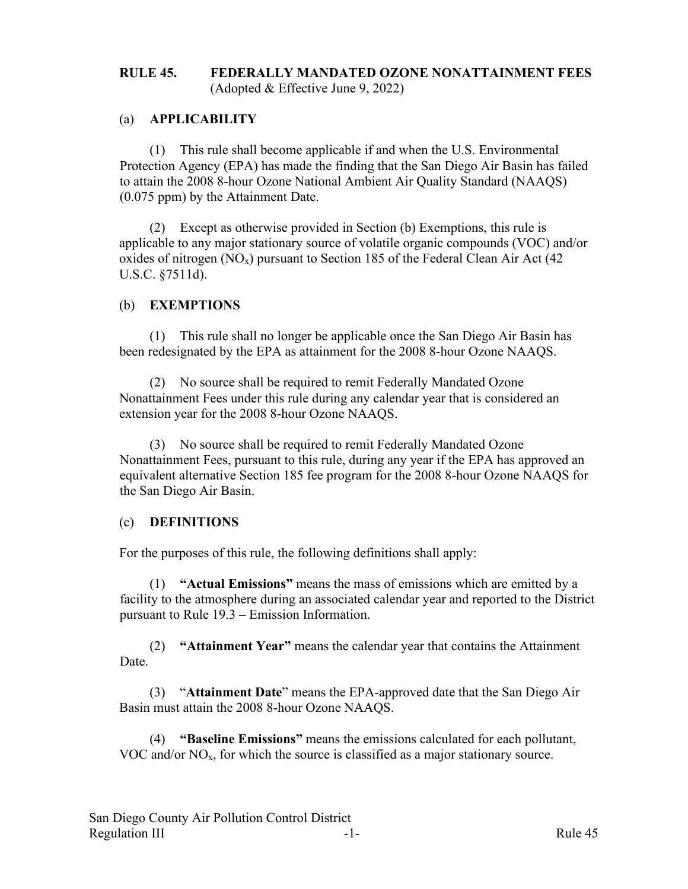### **RULE 45. FEDERALLY MANDATED OZONE NONATTAINMENT FEES** (Adopted & Effective June 9, 2022)

## (a) **APPLICABILITY**

(1) This rule shall become applicable if and when the U.S. Environmental Protection Agency (EPA) has made the finding that the San Diego Air Basin has failed to attain the 2008 8-hour Ozone National Ambient Air Quality Standard (NAAQS) (0.075 ppm) by the Attainment Date.

(2) Except as otherwise provided in Section (b) Exemptions, this rule is applicable to any major stationary source of volatile organic compounds (VOC) and/or oxides of nitrogen  $(NO_x)$  pursuant to Section 185 of the Federal Clean Air Act (42) U.S.C. §7511d).

## (b) **EXEMPTIONS**

(1) This rule shall no longer be applicable once the San Diego Air Basin has been redesignated by the EPA as attainment for the 2008 8-hour Ozone NAAQS.

(2) No source shall be required to remit Federally Mandated Ozone Nonattainment Fees under this rule during any calendar year that is considered an extension year for the 2008 8-hour Ozone NAAQS.

(3) No source shall be required to remit Federally Mandated Ozone Nonattainment Fees, pursuant to this rule, during any year if the EPA has approved an equivalent alternative Section 185 fee program for the 2008 8-hour Ozone NAAQS for the San Diego Air Basin.

#### (c) **DEFINITIONS**

For the purposes of this rule, the following definitions shall apply:

(1) **"Actual Emissions"** means the mass of emissions which are emitted by a facility to the atmosphere during an associated calendar year and reported to the District pursuant to Rule 19.3 – Emission Information.

(2) **"Attainment Year"** means the calendar year that contains the Attainment Date.

(3) "**Attainment Date**" means the EPA-approved date that the San Diego Air Basin must attain the 2008 8-hour Ozone NAAQS.

(4) **"Baseline Emissions"** means the emissions calculated for each pollutant, VOC and/or NOx, for which the source is classified as a major stationary source.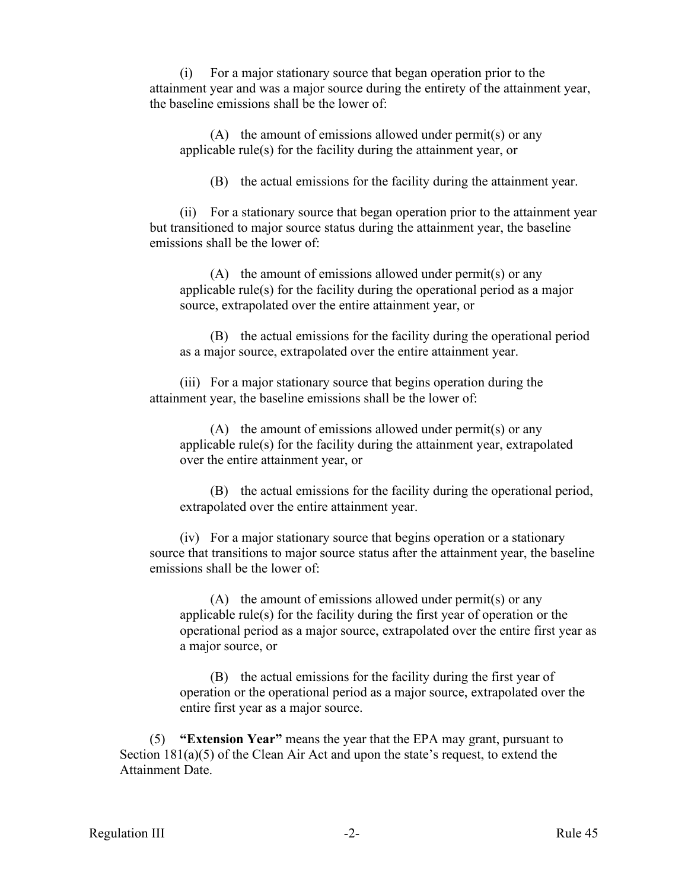(i) For a major stationary source that began operation prior to the attainment year and was a major source during the entirety of the attainment year, the baseline emissions shall be the lower of:

(A) the amount of emissions allowed under permit(s) or any applicable rule(s) for the facility during the attainment year, or

(B) the actual emissions for the facility during the attainment year.

(ii) For a stationary source that began operation prior to the attainment year but transitioned to major source status during the attainment year, the baseline emissions shall be the lower of:

(A) the amount of emissions allowed under permit(s) or any applicable rule(s) for the facility during the operational period as a major source, extrapolated over the entire attainment year, or

(B) the actual emissions for the facility during the operational period as a major source, extrapolated over the entire attainment year.

(iii) For a major stationary source that begins operation during the attainment year, the baseline emissions shall be the lower of:

(A) the amount of emissions allowed under permit(s) or any applicable rule(s) for the facility during the attainment year, extrapolated over the entire attainment year, or

(B) the actual emissions for the facility during the operational period, extrapolated over the entire attainment year.

(iv) For a major stationary source that begins operation or a stationary source that transitions to major source status after the attainment year, the baseline emissions shall be the lower of:

 $(A)$  the amount of emissions allowed under permit(s) or any applicable rule(s) for the facility during the first year of operation or the operational period as a major source, extrapolated over the entire first year as a major source, or

(B) the actual emissions for the facility during the first year of operation or the operational period as a major source, extrapolated over the entire first year as a major source.

(5) **"Extension Year"** means the year that the EPA may grant, pursuant to Section 181(a)(5) of the Clean Air Act and upon the state's request, to extend the Attainment Date.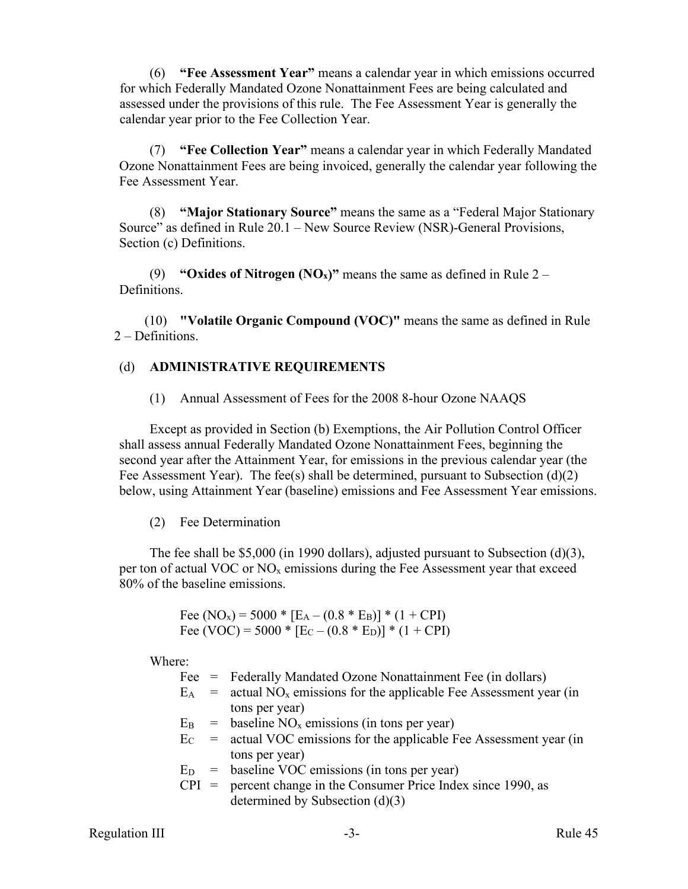(6) **"Fee Assessment Year"** means a calendar year in which emissions occurred for which Federally Mandated Ozone Nonattainment Fees are being calculated and assessed under the provisions of this rule. The Fee Assessment Year is generally the calendar year prior to the Fee Collection Year.

(7) **"Fee Collection Year"** means a calendar year in which Federally Mandated Ozone Nonattainment Fees are being invoiced, generally the calendar year following the Fee Assessment Year.

(8) **"Major Stationary Source"** means the same as a "Federal Major Stationary Source" as defined in Rule 20.1 – New Source Review (NSR)-General Provisions, Section (c) Definitions.

(9) **"Oxides of Nitrogen (NO<sub>x</sub>)"** means the same as defined in Rule  $2 -$ Definitions.

(10) **"Volatile Organic Compound (VOC)"** means the same as defined in Rule 2 – Definitions.

# (d) **ADMINISTRATIVE REQUIREMENTS**

(1) Annual Assessment of Fees for the 2008 8-hour Ozone NAAQS

Except as provided in Section (b) Exemptions, the Air Pollution Control Officer shall assess annual Federally Mandated Ozone Nonattainment Fees, beginning the second year after the Attainment Year, for emissions in the previous calendar year (the Fee Assessment Year). The fee(s) shall be determined, pursuant to Subsection  $(d)(2)$ below, using Attainment Year (baseline) emissions and Fee Assessment Year emissions.

# (2) Fee Determination

The fee shall be \$5,000 (in 1990 dollars), adjusted pursuant to Subsection (d)(3), per ton of actual VOC or  $NO<sub>x</sub>$  emissions during the Fee Assessment year that exceed 80% of the baseline emissions.

> Fee (NO<sub>x</sub>) = 5000 \* [E<sub>A</sub> – (0.8 \* E<sub>B</sub>)] \* (1 + CPI) Fee (VOC) = 5000  $*$  [E<sub>C</sub> – (0.8  $*$  E<sub>D</sub>)]  $*$  (1 + CPI)

Where:

Fee = Federally Mandated Ozone Nonattainment Fee (in dollars)

- $E_A$  = actual NO<sub>x</sub> emissions for the applicable Fee Assessment year (in tons per year)
- $E_B$  = baseline NO<sub>x</sub> emissions (in tons per year)
- $E_C$  = actual VOC emissions for the applicable Fee Assessment year (in tons per year)
- $E_D$  = baseline VOC emissions (in tons per year)
- $CPI$  = percent change in the Consumer Price Index since 1990, as determined by Subsection (d)(3)

Regulation III -3- Rule 45